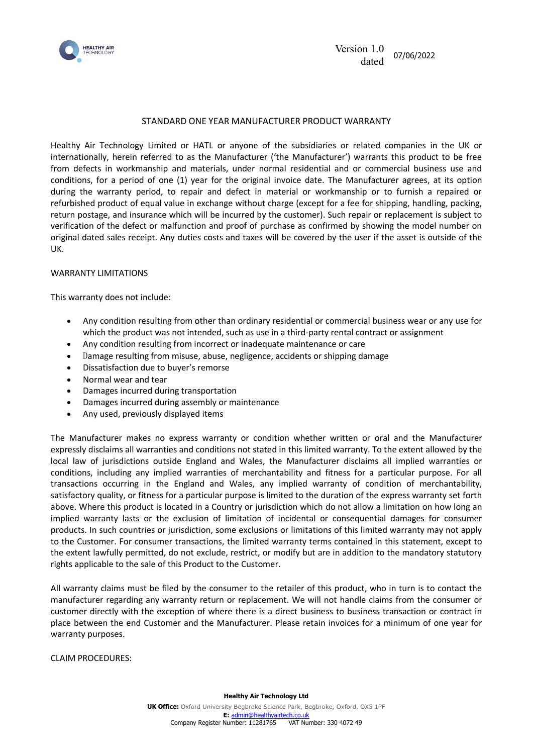

## STANDARD ONE YEAR MANUFACTURER PRODUCT WARRANTY

Healthy Air Technology Limited or HATL or anyone of the subsidiaries or related companies in the UK or internationally, herein referred to as the Manufacturer ('the Manufacturer') warrants this product to be free from defects in workmanship and materials, under normal residential and or commercial business use and conditions, for a period of one (1) year for the original invoice date. The Manufacturer agrees, at its option during the warranty period, to repair and defect in material or workmanship or to furnish a repaired or refurbished product of equal value in exchange without charge (except for a fee for shipping, handling, packing, return postage, and insurance which will be incurred by the customer). Such repair or replacement is subject to verification of the defect or malfunction and proof of purchase as confirmed by showing the model number on original dated sales receipt. Any duties costs and taxes will be covered by the user if the asset is outside of the UK.

## WARRANTY LIMITATIONS

This warranty does not include:

- Any condition resulting from other than ordinary residential or commercial business wear or any use for which the product was not intended, such as use in a third-party rental contract or assignment
- Any condition resulting from incorrect or inadequate maintenance or care
- Damage resulting from misuse, abuse, negligence, accidents or shipping damage
- Dissatisfaction due to buyer's remorse
- Normal wear and tear
- Damages incurred during transportation
- Damages incurred during assembly or maintenance
- Any used, previously displayed items

The Manufacturer makes no express warranty or condition whether written or oral and the Manufacturer expressly disclaims all warranties and conditions not stated in this limited warranty. To the extent allowed by the local law of jurisdictions outside England and Wales, the Manufacturer disclaims all implied warranties or conditions, including any implied warranties of merchantability and fitness for a particular purpose. For all transactions occurring in the England and Wales, any implied warranty of condition of merchantability, satisfactory quality, or fitness for a particular purpose is limited to the duration of the express warranty set forth above. Where this product is located in a Country or jurisdiction which do not allow a limitation on how long an implied warranty lasts or the exclusion of limitation of incidental or consequential damages for consumer products. In such countries or jurisdiction, some exclusions or limitations of this limited warranty may not apply to the Customer. For consumer transactions, the limited warranty terms contained in this statement, except to the extent lawfully permitted, do not exclude, restrict, or modify but are in addition to the mandatory statutory rights applicable to the sale of this Product to the Customer.

All warranty claims must be filed by the consumer to the retailer of this product, who in turn is to contact the manufacturer regarding any warranty return or replacement. We will not handle claims from the consumer or customer directly with the exception of where there is a direct business to business transaction or contract in place between the end Customer and the Manufacturer. Please retain invoices for a minimum of one year for warranty purposes.

CLAIM PROCEDURES: